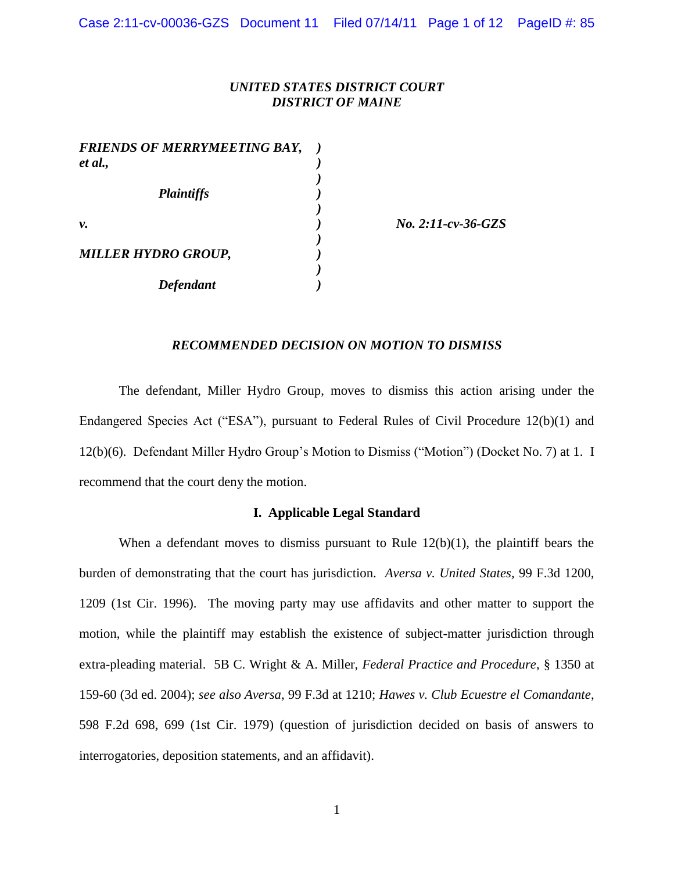## *UNITED STATES DISTRICT COURT DISTRICT OF MAINE*

*)*

*)*

*)*

*)*

*FRIENDS OF MERRYMEETING BAY, ) et al., ) Plaintiffs ) v. ) No. 2:11-cv-36-GZS MILLER HYDRO GROUP, ) Defendant )*

## *RECOMMENDED DECISION ON MOTION TO DISMISS*

The defendant, Miller Hydro Group, moves to dismiss this action arising under the Endangered Species Act ("ESA"), pursuant to Federal Rules of Civil Procedure 12(b)(1) and 12(b)(6). Defendant Miller Hydro Group's Motion to Dismiss ("Motion") (Docket No. 7) at 1. I recommend that the court deny the motion.

## **I. Applicable Legal Standard**

When a defendant moves to dismiss pursuant to Rule  $12(b)(1)$ , the plaintiff bears the burden of demonstrating that the court has jurisdiction. *Aversa v. United States,* 99 F.3d 1200, 1209 (1st Cir. 1996). The moving party may use affidavits and other matter to support the motion, while the plaintiff may establish the existence of subject-matter jurisdiction through extra-pleading material. 5B C. Wright & A. Miller, *Federal Practice and Procedure*, § 1350 at 159-60 (3d ed. 2004); *see also Aversa*, 99 F.3d at 1210; *Hawes v. Club Ecuestre el Comandante*, 598 F.2d 698, 699 (1st Cir. 1979) (question of jurisdiction decided on basis of answers to interrogatories, deposition statements, and an affidavit).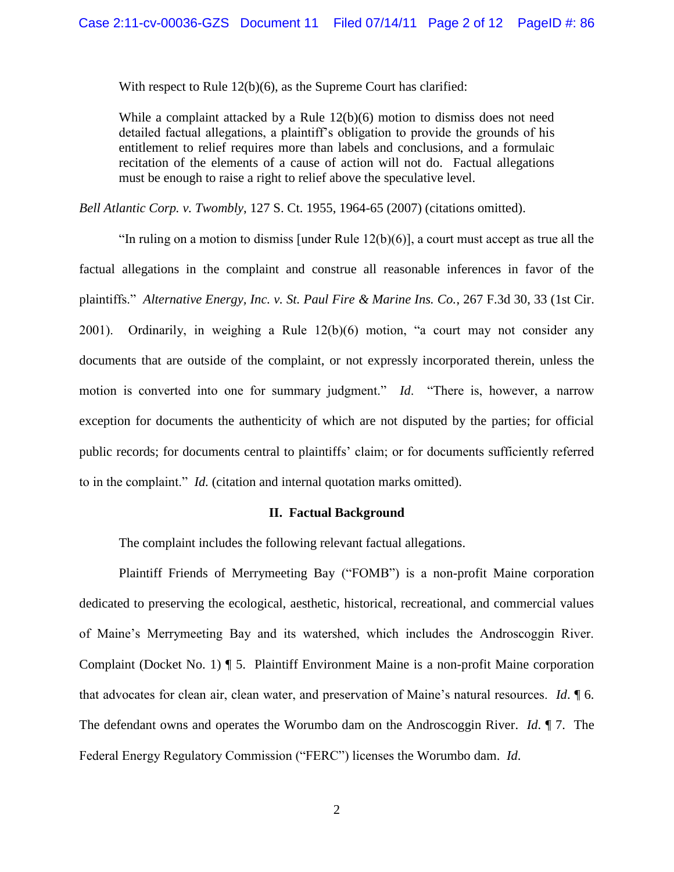With respect to Rule 12(b)(6), as the Supreme Court has clarified:

While a complaint attacked by a Rule  $12(b)(6)$  motion to dismiss does not need detailed factual allegations, a plaintiff's obligation to provide the grounds of his entitlement to relief requires more than labels and conclusions, and a formulaic recitation of the elements of a cause of action will not do. Factual allegations must be enough to raise a right to relief above the speculative level.

*Bell Atlantic Corp. v. Twombly, 127 S. Ct. 1955, 1964-65 (2007) (citations omitted).* 

"In ruling on a motion to dismiss [under Rule  $12(b)(6)$ ], a court must accept as true all the factual allegations in the complaint and construe all reasonable inferences in favor of the plaintiffs." *Alternative Energy, Inc. v. St. Paul Fire & Marine Ins. Co.*, 267 F.3d 30, 33 (1st Cir. 2001). Ordinarily, in weighing a Rule 12(b)(6) motion, "a court may not consider any documents that are outside of the complaint, or not expressly incorporated therein, unless the motion is converted into one for summary judgment." *Id*. "There is, however, a narrow exception for documents the authenticity of which are not disputed by the parties; for official public records; for documents central to plaintiffs' claim; or for documents sufficiently referred to in the complaint." *Id.* (citation and internal quotation marks omitted).

#### **II. Factual Background**

The complaint includes the following relevant factual allegations.

Plaintiff Friends of Merrymeeting Bay ("FOMB") is a non-profit Maine corporation dedicated to preserving the ecological, aesthetic, historical, recreational, and commercial values of Maine's Merrymeeting Bay and its watershed, which includes the Androscoggin River. Complaint (Docket No. 1) ¶ 5. Plaintiff Environment Maine is a non-profit Maine corporation that advocates for clean air, clean water, and preservation of Maine's natural resources. *Id*. ¶ 6. The defendant owns and operates the Worumbo dam on the Androscoggin River. *Id*. ¶ 7. The Federal Energy Regulatory Commission ("FERC") licenses the Worumbo dam. *Id*.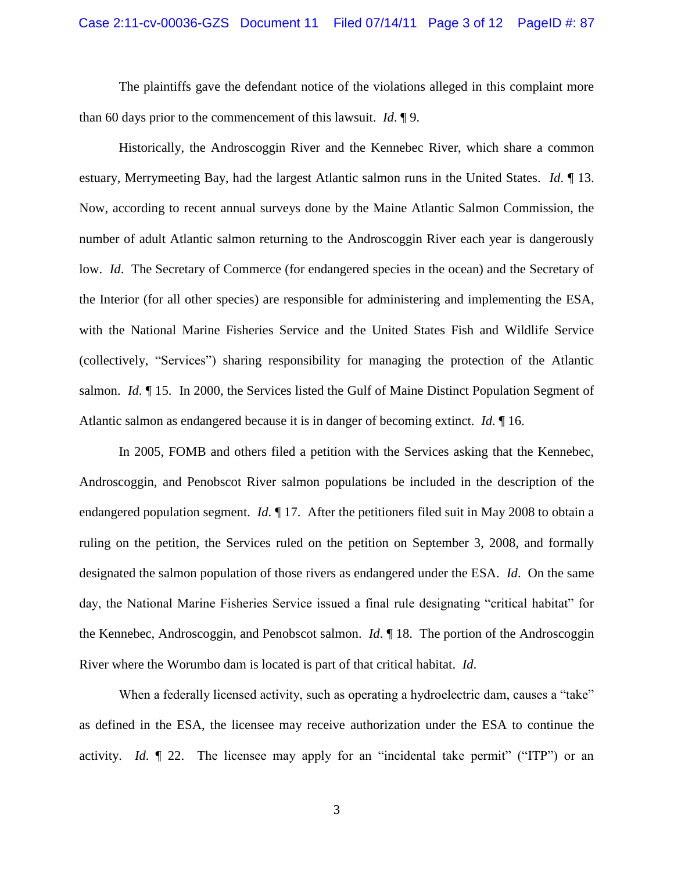The plaintiffs gave the defendant notice of the violations alleged in this complaint more than 60 days prior to the commencement of this lawsuit. *Id*. ¶ 9.

Historically, the Androscoggin River and the Kennebec River, which share a common estuary, Merrymeeting Bay, had the largest Atlantic salmon runs in the United States. *Id*. ¶ 13. Now, according to recent annual surveys done by the Maine Atlantic Salmon Commission, the number of adult Atlantic salmon returning to the Androscoggin River each year is dangerously low. *Id.* The Secretary of Commerce (for endangered species in the ocean) and the Secretary of the Interior (for all other species) are responsible for administering and implementing the ESA, with the National Marine Fisheries Service and the United States Fish and Wildlife Service (collectively, "Services") sharing responsibility for managing the protection of the Atlantic salmon. *Id*. ¶ 15. In 2000, the Services listed the Gulf of Maine Distinct Population Segment of Atlantic salmon as endangered because it is in danger of becoming extinct. *Id*. ¶ 16.

In 2005, FOMB and others filed a petition with the Services asking that the Kennebec, Androscoggin, and Penobscot River salmon populations be included in the description of the endangered population segment. *Id*. ¶ 17. After the petitioners filed suit in May 2008 to obtain a ruling on the petition, the Services ruled on the petition on September 3, 2008, and formally designated the salmon population of those rivers as endangered under the ESA. *Id*. On the same day, the National Marine Fisheries Service issued a final rule designating "critical habitat" for the Kennebec, Androscoggin, and Penobscot salmon. *Id*. ¶ 18. The portion of the Androscoggin River where the Worumbo dam is located is part of that critical habitat. *Id*.

When a federally licensed activity, such as operating a hydroelectric dam, causes a "take" as defined in the ESA, the licensee may receive authorization under the ESA to continue the activity. *Id*. ¶ 22. The licensee may apply for an "incidental take permit" ("ITP") or an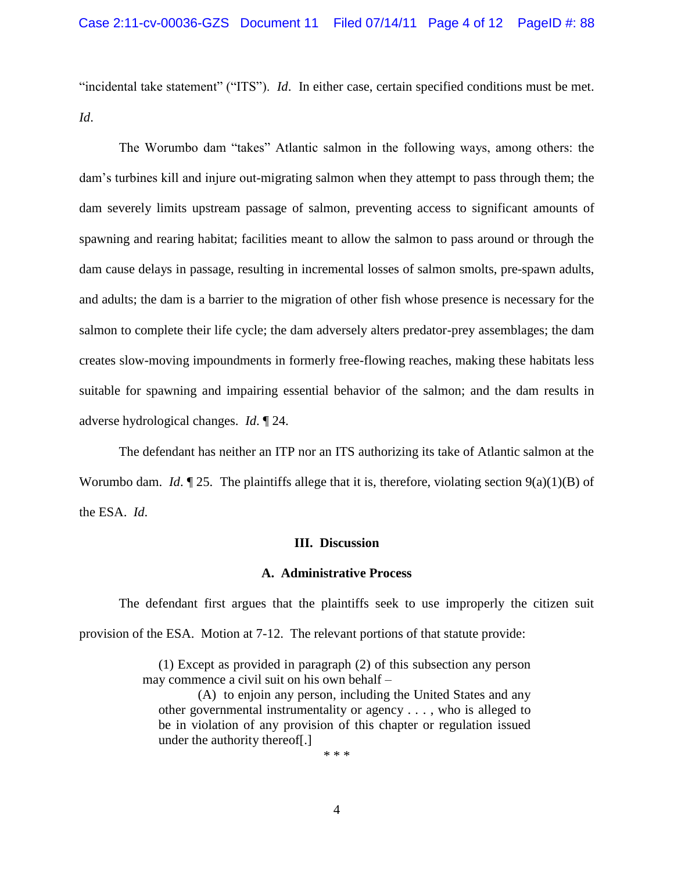"incidental take statement" ("ITS"). *Id*. In either case, certain specified conditions must be met. *Id*.

The Worumbo dam "takes" Atlantic salmon in the following ways, among others: the dam's turbines kill and injure out-migrating salmon when they attempt to pass through them; the dam severely limits upstream passage of salmon, preventing access to significant amounts of spawning and rearing habitat; facilities meant to allow the salmon to pass around or through the dam cause delays in passage, resulting in incremental losses of salmon smolts, pre-spawn adults, and adults; the dam is a barrier to the migration of other fish whose presence is necessary for the salmon to complete their life cycle; the dam adversely alters predator-prey assemblages; the dam creates slow-moving impoundments in formerly free-flowing reaches, making these habitats less suitable for spawning and impairing essential behavior of the salmon; and the dam results in adverse hydrological changes. *Id*. ¶ 24.

The defendant has neither an ITP nor an ITS authorizing its take of Atlantic salmon at the Worumbo dam. *Id.*  $\llbracket 25$ . The plaintiffs allege that it is, therefore, violating section  $9(a)(1)(B)$  of the ESA. *Id*.

#### **III. Discussion**

### **A. Administrative Process**

The defendant first argues that the plaintiffs seek to use improperly the citizen suit provision of the ESA. Motion at 7-12. The relevant portions of that statute provide:

> (1) Except as provided in paragraph (2) of this subsection any person may commence a civil suit on his own behalf –

(A) to enjoin any person, including the United States and any other governmental instrumentality or agency . . . , who is alleged to be in violation of any provision of this chapter or regulation issued under the authority thereof[.]

\* \* \*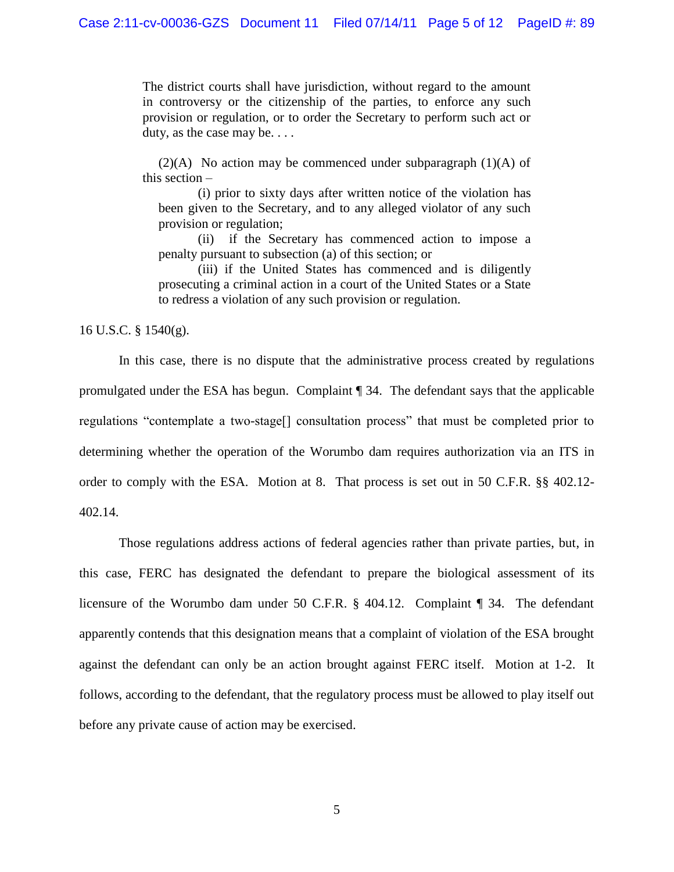The district courts shall have jurisdiction, without regard to the amount in controversy or the citizenship of the parties, to enforce any such provision or regulation, or to order the Secretary to perform such act or duty, as the case may be. . . .

 $(2)(A)$  No action may be commenced under subparagraph  $(1)(A)$  of this section –

(i) prior to sixty days after written notice of the violation has been given to the Secretary, and to any alleged violator of any such provision or regulation;

(ii) if the Secretary has commenced action to impose a penalty pursuant to subsection (a) of this section; or

(iii) if the United States has commenced and is diligently prosecuting a criminal action in a court of the United States or a State to redress a violation of any such provision or regulation.

16 U.S.C. § 1540(g).

In this case, there is no dispute that the administrative process created by regulations promulgated under the ESA has begun. Complaint ¶ 34. The defendant says that the applicable regulations "contemplate a two-stage[] consultation process" that must be completed prior to determining whether the operation of the Worumbo dam requires authorization via an ITS in order to comply with the ESA. Motion at 8. That process is set out in 50 C.F.R. §§ 402.12- 402.14.

Those regulations address actions of federal agencies rather than private parties, but, in this case, FERC has designated the defendant to prepare the biological assessment of its licensure of the Worumbo dam under 50 C.F.R. § 404.12. Complaint ¶ 34. The defendant apparently contends that this designation means that a complaint of violation of the ESA brought against the defendant can only be an action brought against FERC itself. Motion at 1-2. It follows, according to the defendant, that the regulatory process must be allowed to play itself out before any private cause of action may be exercised.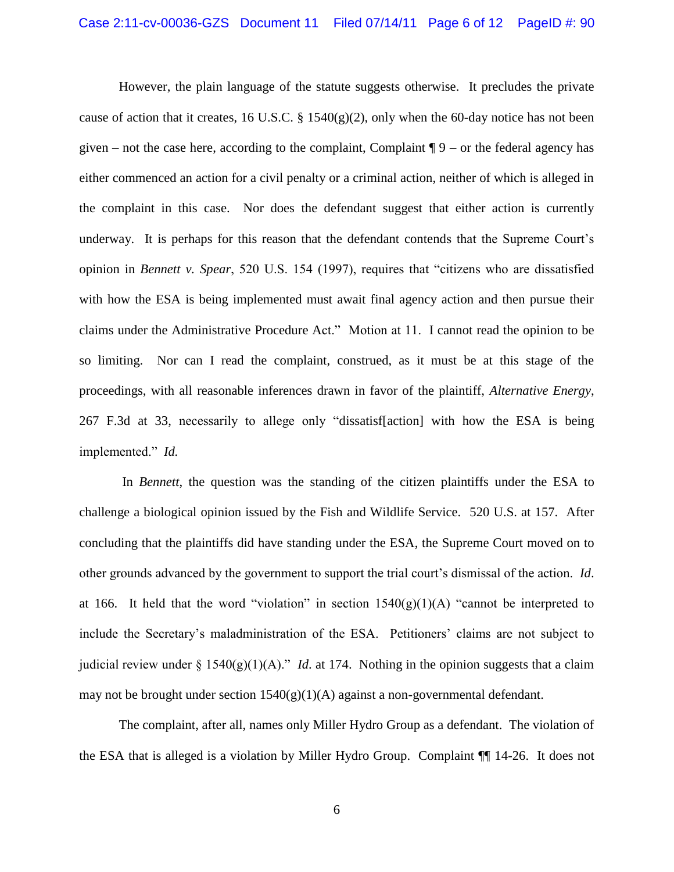However, the plain language of the statute suggests otherwise. It precludes the private cause of action that it creates, 16 U.S.C. § 1540(g)(2), only when the 60-day notice has not been given – not the case here, according to the complaint, Complaint  $\P 9$  – or the federal agency has either commenced an action for a civil penalty or a criminal action, neither of which is alleged in the complaint in this case. Nor does the defendant suggest that either action is currently underway. It is perhaps for this reason that the defendant contends that the Supreme Court's opinion in *Bennett v. Spear*, 520 U.S. 154 (1997), requires that "citizens who are dissatisfied with how the ESA is being implemented must await final agency action and then pursue their claims under the Administrative Procedure Act." Motion at 11. I cannot read the opinion to be so limiting. Nor can I read the complaint, construed, as it must be at this stage of the proceedings, with all reasonable inferences drawn in favor of the plaintiff, *Alternative Energy*, 267 F.3d at 33, necessarily to allege only "dissatisf[action] with how the ESA is being implemented." *Id.*

In *Bennett*, the question was the standing of the citizen plaintiffs under the ESA to challenge a biological opinion issued by the Fish and Wildlife Service. 520 U.S. at 157. After concluding that the plaintiffs did have standing under the ESA, the Supreme Court moved on to other grounds advanced by the government to support the trial court's dismissal of the action. *Id*. at 166. It held that the word "violation" in section  $1540(g)(1)(A)$  "cannot be interpreted to include the Secretary's maladministration of the ESA. Petitioners' claims are not subject to judicial review under § 1540(g)(1)(A)." *Id*. at 174. Nothing in the opinion suggests that a claim may not be brought under section  $1540(g)(1)(A)$  against a non-governmental defendant.

The complaint, after all, names only Miller Hydro Group as a defendant. The violation of the ESA that is alleged is a violation by Miller Hydro Group. Complaint ¶¶ 14-26. It does not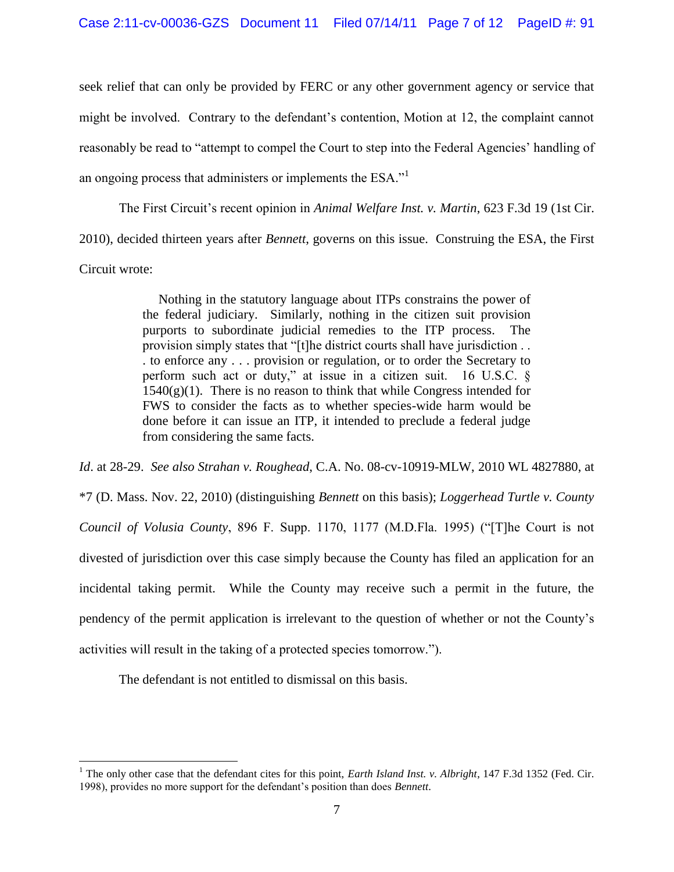seek relief that can only be provided by FERC or any other government agency or service that might be involved. Contrary to the defendant's contention, Motion at 12, the complaint cannot reasonably be read to "attempt to compel the Court to step into the Federal Agencies' handling of an ongoing process that administers or implements the  $ESA.^{1}$ .

The First Circuit's recent opinion in *Animal Welfare Inst. v. Martin*, 623 F.3d 19 (1st Cir. 2010), decided thirteen years after *Bennett*, governs on this issue. Construing the ESA, the First Circuit wrote:

> Nothing in the statutory language about ITPs constrains the power of the federal judiciary. Similarly, nothing in the citizen suit provision purports to subordinate judicial remedies to the ITP process. The provision simply states that "[t]he district courts shall have jurisdiction . . . to enforce any . . . provision or regulation, or to order the Secretary to perform such act or duty," at issue in a citizen suit. 16 U.S.C. §  $1540(g)(1)$ . There is no reason to think that while Congress intended for FWS to consider the facts as to whether species-wide harm would be done before it can issue an ITP, it intended to preclude a federal judge from considering the same facts.

*Id*. at 28-29. *See also Strahan v. Roughead*, C.A. No. 08-cv-10919-MLW, 2010 WL 4827880, at \*7 (D. Mass. Nov. 22, 2010) (distinguishing *Bennett* on this basis); *Loggerhead Turtle v. County Council of Volusia County*, 896 F. Supp. 1170, 1177 (M.D.Fla. 1995) ("[T]he Court is not divested of jurisdiction over this case simply because the County has filed an application for an incidental taking permit. While the County may receive such a permit in the future, the pendency of the permit application is irrelevant to the question of whether or not the County's activities will result in the taking of a protected species tomorrow.").

The defendant is not entitled to dismissal on this basis.

 $\overline{a}$ 

<sup>&</sup>lt;sup>1</sup> The only other case that the defendant cites for this point, *Earth Island Inst. v. Albright*, 147 F.3d 1352 (Fed. Cir. 1998), provides no more support for the defendant's position than does *Bennett*.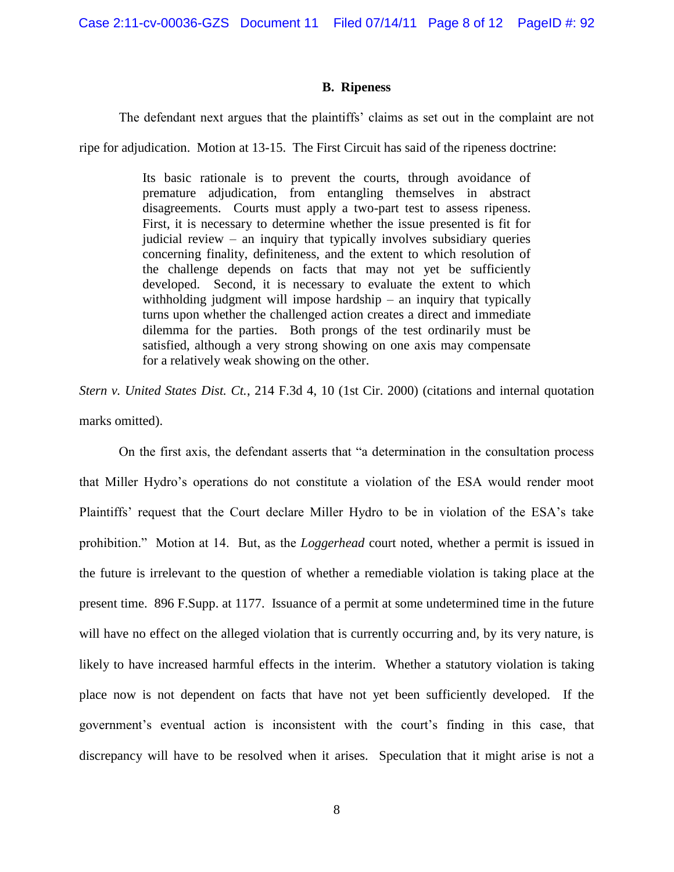Case 2:11-cv-00036-GZS Document 11 Filed 07/14/11 Page 8 of 12 PageID #: 92

## **B. Ripeness**

The defendant next argues that the plaintiffs' claims as set out in the complaint are not

ripe for adjudication. Motion at 13-15. The First Circuit has said of the ripeness doctrine:

Its basic rationale is to prevent the courts, through avoidance of premature adjudication, from entangling themselves in abstract disagreements. Courts must apply a two-part test to assess ripeness. First, it is necessary to determine whether the issue presented is fit for judicial review – an inquiry that typically involves subsidiary queries concerning finality, definiteness, and the extent to which resolution of the challenge depends on facts that may not yet be sufficiently developed. Second, it is necessary to evaluate the extent to which withholding judgment will impose hardship – an inquiry that typically turns upon whether the challenged action creates a direct and immediate dilemma for the parties. Both prongs of the test ordinarily must be satisfied, although a very strong showing on one axis may compensate for a relatively weak showing on the other.

*Stern v. United States Dist. Ct.*, 214 F.3d 4, 10 (1st Cir. 2000) (citations and internal quotation marks omitted).

On the first axis, the defendant asserts that "a determination in the consultation process that Miller Hydro's operations do not constitute a violation of the ESA would render moot Plaintiffs' request that the Court declare Miller Hydro to be in violation of the ESA's take prohibition." Motion at 14. But, as the *Loggerhead* court noted, whether a permit is issued in the future is irrelevant to the question of whether a remediable violation is taking place at the present time. 896 F.Supp. at 1177. Issuance of a permit at some undetermined time in the future will have no effect on the alleged violation that is currently occurring and, by its very nature, is likely to have increased harmful effects in the interim. Whether a statutory violation is taking place now is not dependent on facts that have not yet been sufficiently developed. If the government's eventual action is inconsistent with the court's finding in this case, that discrepancy will have to be resolved when it arises. Speculation that it might arise is not a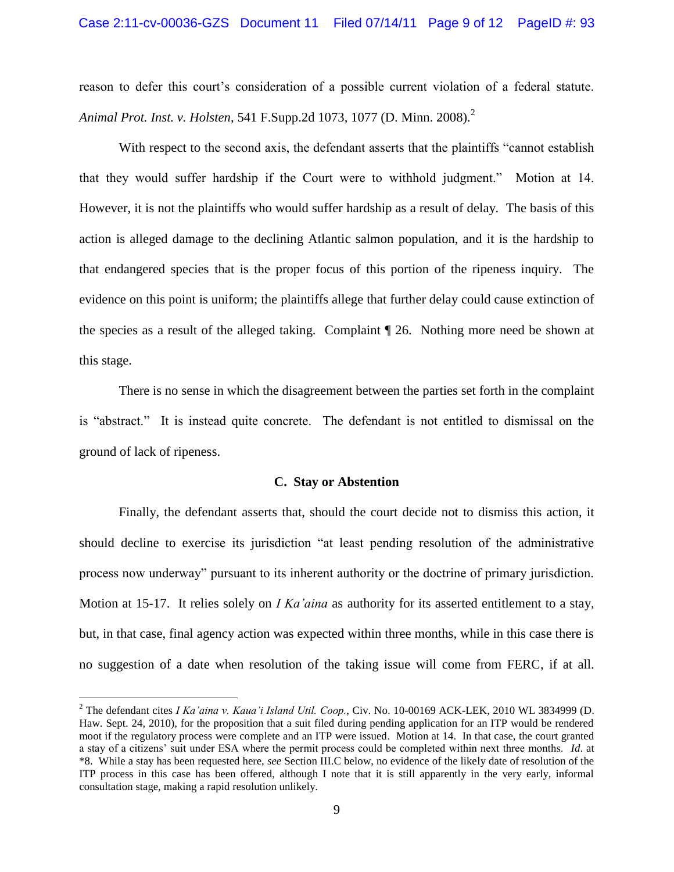reason to defer this court's consideration of a possible current violation of a federal statute. *Animal Prot. Inst. v. Holsten,* 541 F.Supp.2d 1073, 1077 (D. Minn. 2008).<sup>2</sup>

With respect to the second axis, the defendant asserts that the plaintiffs "cannot establish that they would suffer hardship if the Court were to withhold judgment." Motion at 14. However, it is not the plaintiffs who would suffer hardship as a result of delay. The basis of this action is alleged damage to the declining Atlantic salmon population, and it is the hardship to that endangered species that is the proper focus of this portion of the ripeness inquiry. The evidence on this point is uniform; the plaintiffs allege that further delay could cause extinction of the species as a result of the alleged taking. Complaint ¶ 26. Nothing more need be shown at this stage.

There is no sense in which the disagreement between the parties set forth in the complaint is "abstract." It is instead quite concrete. The defendant is not entitled to dismissal on the ground of lack of ripeness.

### **C. Stay or Abstention**

Finally, the defendant asserts that, should the court decide not to dismiss this action, it should decline to exercise its jurisdiction "at least pending resolution of the administrative process now underway" pursuant to its inherent authority or the doctrine of primary jurisdiction. Motion at 15-17. It relies solely on *I Ka'aina* as authority for its asserted entitlement to a stay, but, in that case, final agency action was expected within three months, while in this case there is no suggestion of a date when resolution of the taking issue will come from FERC, if at all.

 $\overline{a}$ 

<sup>2</sup> The defendant cites *I Ka'aina v. Kaua'i Island Util. Coop.*, Civ. No. 10-00169 ACK-LEK, 2010 WL 3834999 (D. Haw. Sept. 24, 2010), for the proposition that a suit filed during pending application for an ITP would be rendered moot if the regulatory process were complete and an ITP were issued. Motion at 14. In that case, the court granted a stay of a citizens' suit under ESA where the permit process could be completed within next three months. *Id*. at \*8. While a stay has been requested here, *see* Section III.C below, no evidence of the likely date of resolution of the ITP process in this case has been offered, although I note that it is still apparently in the very early, informal consultation stage, making a rapid resolution unlikely.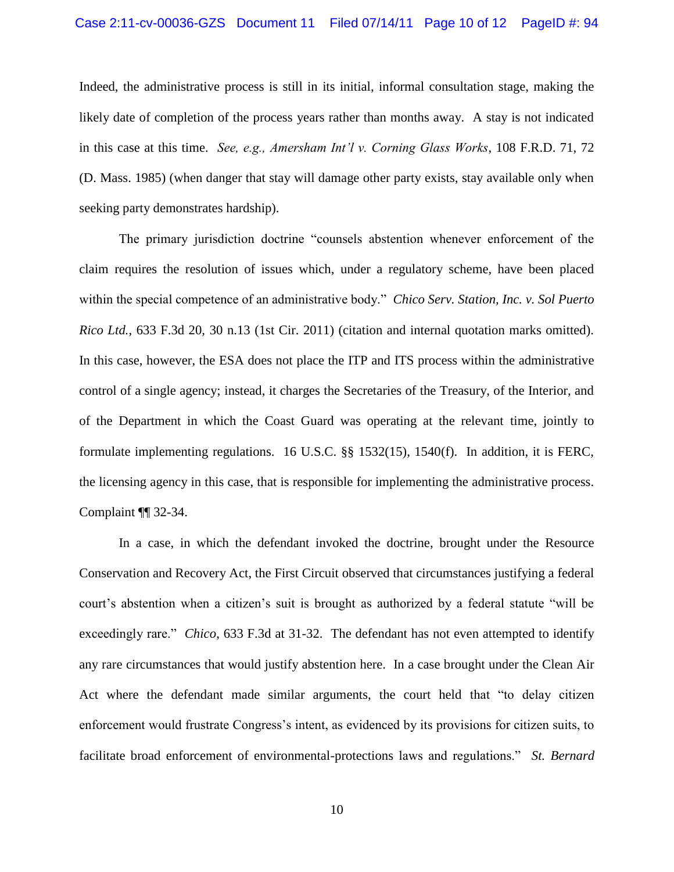Indeed, the administrative process is still in its initial, informal consultation stage, making the likely date of completion of the process years rather than months away. A stay is not indicated in this case at this time. *See, e.g., Amersham Int'l v. Corning Glass Works*, 108 F.R.D. 71, 72 (D. Mass. 1985) (when danger that stay will damage other party exists, stay available only when seeking party demonstrates hardship).

The primary jurisdiction doctrine "counsels abstention whenever enforcement of the claim requires the resolution of issues which, under a regulatory scheme, have been placed within the special competence of an administrative body." *Chico Serv. Station, Inc. v. Sol Puerto Rico Ltd.*, 633 F.3d 20, 30 n.13 (1st Cir. 2011) (citation and internal quotation marks omitted). In this case, however, the ESA does not place the ITP and ITS process within the administrative control of a single agency; instead, it charges the Secretaries of the Treasury, of the Interior, and of the Department in which the Coast Guard was operating at the relevant time, jointly to formulate implementing regulations. 16 U.S.C. §§ 1532(15), 1540(f). In addition, it is FERC, the licensing agency in this case, that is responsible for implementing the administrative process. Complaint ¶¶ 32-34.

In a case, in which the defendant invoked the doctrine, brought under the Resource Conservation and Recovery Act, the First Circuit observed that circumstances justifying a federal court's abstention when a citizen's suit is brought as authorized by a federal statute "will be exceedingly rare." *Chico*, 633 F.3d at 31-32. The defendant has not even attempted to identify any rare circumstances that would justify abstention here. In a case brought under the Clean Air Act where the defendant made similar arguments, the court held that "to delay citizen enforcement would frustrate Congress's intent, as evidenced by its provisions for citizen suits, to facilitate broad enforcement of environmental-protections laws and regulations." *St. Bernard*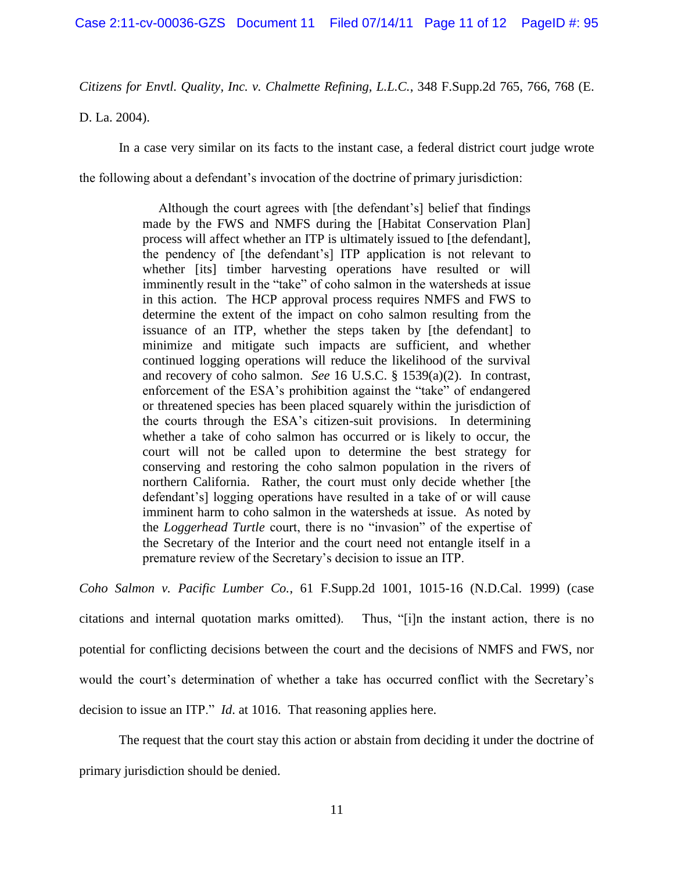*Citizens for Envtl. Quality, Inc. v. Chalmette Refining, L.L.C.*, 348 F.Supp.2d 765, 766, 768 (E.

D. La. 2004).

In a case very similar on its facts to the instant case, a federal district court judge wrote

the following about a defendant's invocation of the doctrine of primary jurisdiction:

Although the court agrees with [the defendant's] belief that findings made by the FWS and NMFS during the [Habitat Conservation Plan] process will affect whether an ITP is ultimately issued to [the defendant], the pendency of [the defendant's] ITP application is not relevant to whether [its] timber harvesting operations have resulted or will imminently result in the "take" of coho salmon in the watersheds at issue in this action. The HCP approval process requires NMFS and FWS to determine the extent of the impact on coho salmon resulting from the issuance of an ITP, whether the steps taken by [the defendant] to minimize and mitigate such impacts are sufficient, and whether continued logging operations will reduce the likelihood of the survival and recovery of coho salmon. *See* 16 U.S.C. § 1539(a)(2). In contrast, enforcement of the ESA's prohibition against the "take" of endangered or threatened species has been placed squarely within the jurisdiction of the courts through the ESA's citizen-suit provisions. In determining whether a take of coho salmon has occurred or is likely to occur, the court will not be called upon to determine the best strategy for conserving and restoring the coho salmon population in the rivers of northern California. Rather, the court must only decide whether [the defendant's] logging operations have resulted in a take of or will cause imminent harm to coho salmon in the watersheds at issue. As noted by the *Loggerhead Turtle* court, there is no "invasion" of the expertise of the Secretary of the Interior and the court need not entangle itself in a premature review of the Secretary's decision to issue an ITP.

*Coho Salmon v. Pacific Lumber Co.*, 61 F.Supp.2d 1001, 1015-16 (N.D.Cal. 1999) (case citations and internal quotation marks omitted). Thus, "[i]n the instant action, there is no potential for conflicting decisions between the court and the decisions of NMFS and FWS, nor would the court's determination of whether a take has occurred conflict with the Secretary's decision to issue an ITP." *Id*. at 1016. That reasoning applies here.

The request that the court stay this action or abstain from deciding it under the doctrine of primary jurisdiction should be denied.